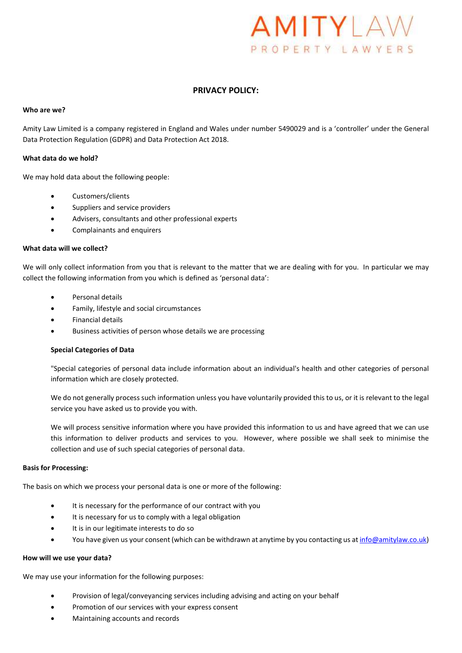# AMITYLAW PROPERTY LAWYERS

# PRIVACY POLICY:

# Who are we?

Amity Law Limited is a company registered in England and Wales under number 5490029 and is a 'controller' under the General Data Protection Regulation (GDPR) and Data Protection Act 2018.

# What data do we hold?

We may hold data about the following people:

- Customers/clients
- Suppliers and service providers
- Advisers, consultants and other professional experts
- Complainants and enquirers

# What data will we collect?

We will only collect information from you that is relevant to the matter that we are dealing with for you. In particular we may collect the following information from you which is defined as 'personal data':

- Personal details
- Family, lifestyle and social circumstances
- Financial details
- Business activities of person whose details we are processing

# Special Categories of Data

"Special categories of personal data include information about an individual's health and other categories of personal information which are closely protected.

We do not generally process such information unless you have voluntarily provided this to us, or it is relevant to the legal service you have asked us to provide you with.

We will process sensitive information where you have provided this information to us and have agreed that we can use this information to deliver products and services to you. However, where possible we shall seek to minimise the collection and use of such special categories of personal data.

#### Basis for Processing:

The basis on which we process your personal data is one or more of the following:

- It is necessary for the performance of our contract with you
- It is necessary for us to comply with a legal obligation
- It is in our legitimate interests to do so
- You have given us your consent (which can be withdrawn at anytime by you contacting us at info@amitylaw.co.uk)

# How will we use your data?

We may use your information for the following purposes:

- Provision of legal/conveyancing services including advising and acting on your behalf
- Promotion of our services with your express consent
- Maintaining accounts and records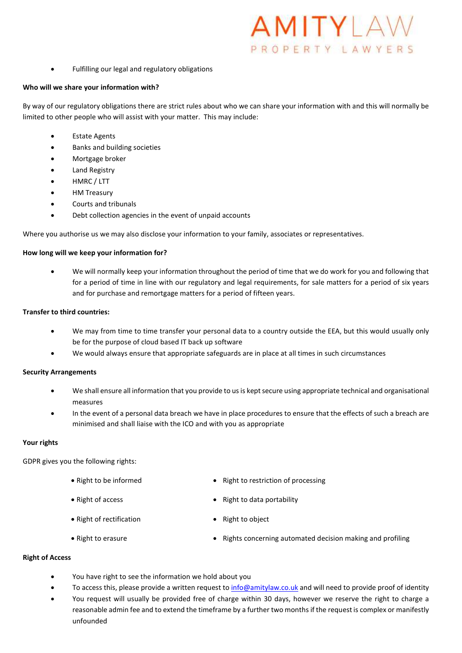- MITYLAV PROPERTY LAWYERS
- Fulfilling our legal and regulatory obligations

#### Who will we share your information with?

By way of our regulatory obligations there are strict rules about who we can share your information with and this will normally be limited to other people who will assist with your matter. This may include:

- Estate Agents
- Banks and building societies
- Mortgage broker
- Land Registry
- HMRC / LTT
- HM Treasury
- Courts and tribunals
- Debt collection agencies in the event of unpaid accounts

Where you authorise us we may also disclose your information to your family, associates or representatives.

### How long will we keep your information for?

 We will normally keep your information throughout the period of time that we do work for you and following that for a period of time in line with our regulatory and legal requirements, for sale matters for a period of six years and for purchase and remortgage matters for a period of fifteen years.

# Transfer to third countries:

- We may from time to time transfer your personal data to a country outside the EEA, but this would usually only be for the purpose of cloud based IT back up software
- We would always ensure that appropriate safeguards are in place at all times in such circumstances

# Security Arrangements

- We shall ensure all information that you provide to us is kept secure using appropriate technical and organisational measures
- In the event of a personal data breach we have in place procedures to ensure that the effects of such a breach are minimised and shall liaise with the ICO and with you as appropriate

# Your rights

GDPR gives you the following rights:

- 
- 
- Right to be informed **a contained Right to restriction of processing**
- Right of access **and a computer of access Right to data portability**
- Right of rectification Right to object
- Right to erasure **Exercise 20** and profiling **•** Rights concerning automated decision making and profiling

## Right of Access

- You have right to see the information we hold about you
- To access this, please provide a written request to info@amitylaw.co.uk and will need to provide proof of identity
- You request will usually be provided free of charge within 30 days, however we reserve the right to charge a reasonable admin fee and to extend the timeframe by a further two months if the request is complex or manifestly unfounded